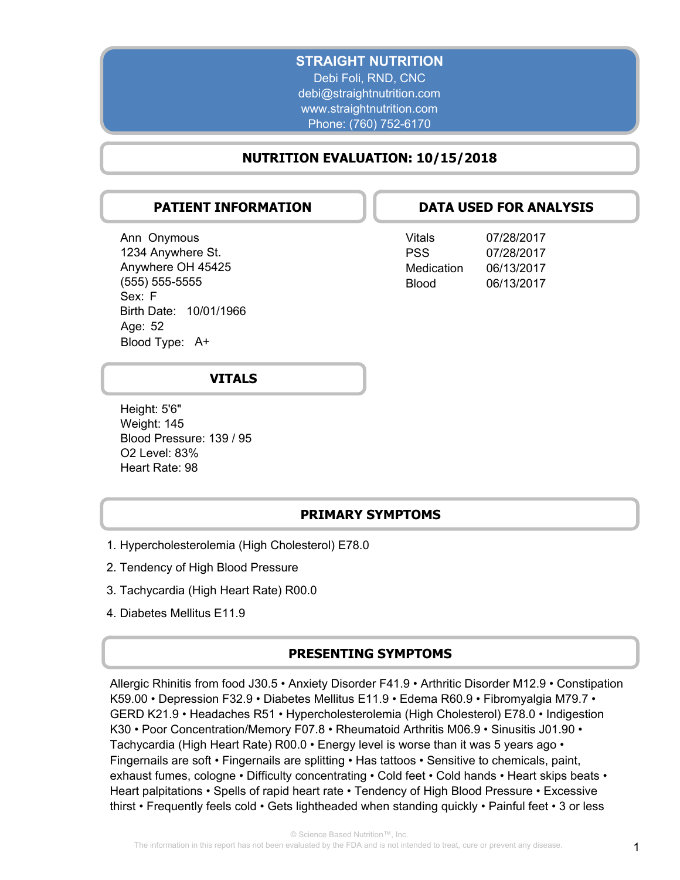## **STRAIGHT NUTRITION**

Debi Foli, RND, CNC debi@straightnutrition.com www.straightnutrition.com Phone: (760) 752-6170

## **NUTRITION EVALUATION: 10/15/2018**

## **PATIENT INFORMATION**

Ann Onymous 1234 Anywhere St. Anywhere OH 45425 (555) 555-5555 Sex: F Birth Date: 10/01/1966 Age: 52 Blood Type: A+

## **DATA USED FOR ANALYSIS**

| Vitals     | 07/28/2017 |
|------------|------------|
| PSS        | 07/28/2017 |
| Medication | 06/13/2017 |
| Blood      | 06/13/2017 |

## **VITALS**

Height: 5'6" Weight: 145 Blood Pressure: 139 / 95 O2 Level: 83% Heart Rate: 98

## **PRIMARY SYMPTOMS**

- 1. Hypercholesterolemia (High Cholesterol) E78.0
- 2. Tendency of High Blood Pressure
- 3. Tachycardia (High Heart Rate) R00.0
- 4. Diabetes Mellitus E11.9

### **PRESENTING SYMPTOMS**

Allergic Rhinitis from food J30.5 • Anxiety Disorder F41.9 • Arthritic Disorder M12.9 • Constipation K59.00 • Depression F32.9 • Diabetes Mellitus E11.9 • Edema R60.9 • Fibromyalgia M79.7 • GERD K21.9 • Headaches R51 • Hypercholesterolemia (High Cholesterol) E78.0 • Indigestion K30 • Poor Concentration/Memory F07.8 • Rheumatoid Arthritis M06.9 • Sinusitis J01.90 • Tachycardia (High Heart Rate) R00.0 • Energy level is worse than it was 5 years ago • Fingernails are soft • Fingernails are splitting • Has tattoos • Sensitive to chemicals, paint, exhaust fumes, cologne • Difficulty concentrating • Cold feet • Cold hands • Heart skips beats • Heart palpitations • Spells of rapid heart rate • Tendency of High Blood Pressure • Excessive thirst • Frequently feels cold • Gets lightheaded when standing quickly • Painful feet • 3 or less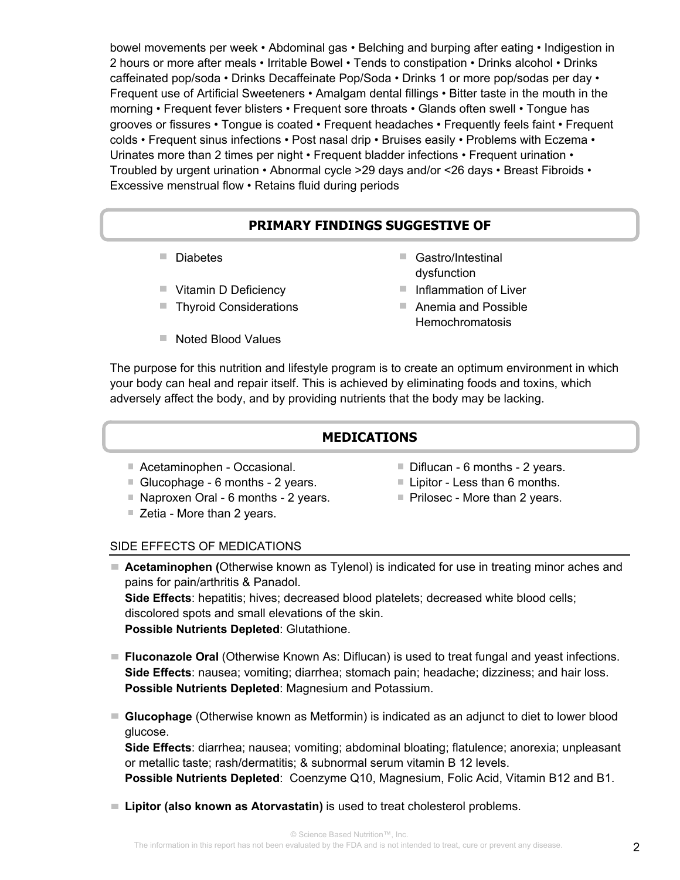bowel movements per week • Abdominal gas • Belching and burping after eating • Indigestion in 2 hours or more after meals • Irritable Bowel • Tends to constipation • Drinks alcohol • Drinks caffeinated pop/soda • Drinks Decaffeinate Pop/Soda • Drinks 1 or more pop/sodas per day • Frequent use of Artificial Sweeteners • Amalgam dental fillings • Bitter taste in the mouth in the morning • Frequent fever blisters • Frequent sore throats • Glands often swell • Tongue has grooves or fissures • Tongue is coated • Frequent headaches • Frequently feels faint • Frequent colds • Frequent sinus infections • Post nasal drip • Bruises easily • Problems with Eczema • Urinates more than 2 times per night • Frequent bladder infections • Frequent urination • Troubled by urgent urination • Abnormal cycle >29 days and/or <26 days • Breast Fibroids • Excessive menstrual flow • Retains fluid during periods

# **PRIMARY FINDINGS SUGGESTIVE OF**

- 
- 
- Thyroid Considerations Anemia and Possible
- $\blacksquare$  Noted Blood Values
- Diabetes Gastro/Intestinal dysfunction
- Vitamin D Deficiency Inflammation of Liver
	- **Hemochromatosis**

The purpose for this nutrition and lifestyle program is to create an optimum environment in which your body can heal and repair itself. This is achieved by eliminating foods and toxins, which adversely affect the body, and by providing nutrients that the body may be lacking.

## **MEDICATIONS**

- Acetaminophen Occasional. **Diflucan 6 months 2 years.**
- Glucophage 6 months 2 years. Lipitor Less than 6 months.
- $\blacksquare$  Naproxen Oral 6 months 2 years.  $\blacksquare$  Prilosec More than 2 years.
- Zetia More than 2 years.
- 
- 
- 

## SIDE EFFECTS OF MEDICATIONS

- **Acetaminophen (**Otherwise known as Tylenol) is indicated for use in treating minor aches and pains for pain/arthritis & Panadol. **Side Effects**: hepatitis; hives; decreased blood platelets; decreased white blood cells; discolored spots and small elevations of the skin. **Possible Nutrients Depleted**: Glutathione.
- **Fluconazole Oral** (Otherwise Known As: Diflucan) is used to treat fungal and yeast infections. **Side Effects**: nausea; vomiting; diarrhea; stomach pain; headache; dizziness; and hair loss. **Possible Nutrients Depleted**: Magnesium and Potassium.
- **Glucophage** (Otherwise known as Metformin) is indicated as an adjunct to diet to lower blood glucose.

**Side Effects**: diarrhea; nausea; vomiting; abdominal bloating; flatulence; anorexia; unpleasant or metallic taste; rash/dermatitis; & subnormal serum vitamin B 12 levels.

**Possible Nutrients Depleted**: Coenzyme Q10, Magnesium, Folic Acid, Vitamin B12 and B1.

■ Lipitor (also known as Atorvastatin) is used to treat cholesterol problems.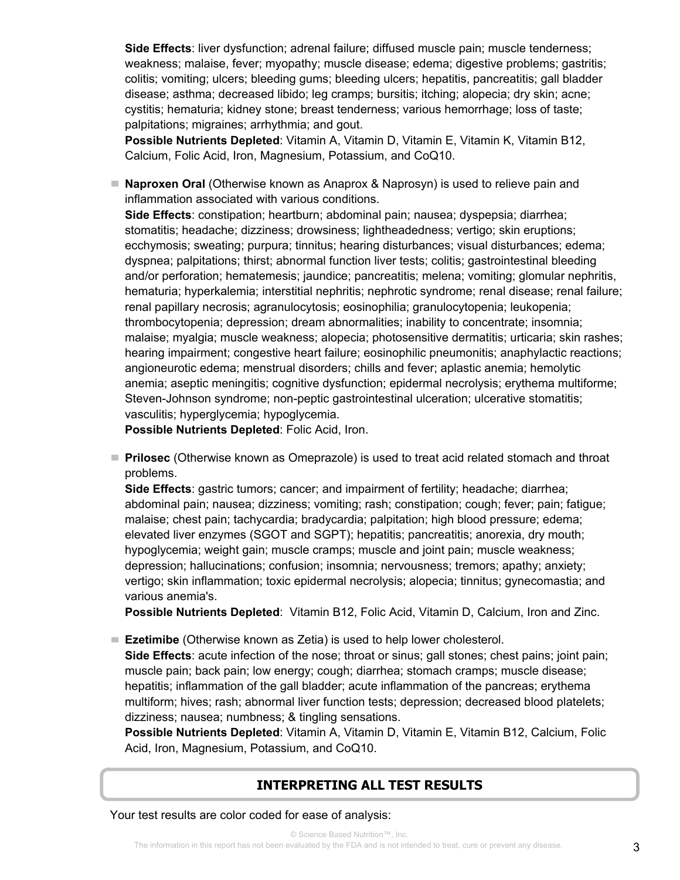**Side Effects**: liver dysfunction; adrenal failure; diffused muscle pain; muscle tenderness; weakness; malaise, fever; myopathy; muscle disease; edema; digestive problems; gastritis; colitis; vomiting; ulcers; bleeding gums; bleeding ulcers; hepatitis, pancreatitis; gall bladder disease; asthma; decreased libido; leg cramps; bursitis; itching; alopecia; dry skin; acne; cystitis; hematuria; kidney stone; breast tenderness; various hemorrhage; loss of taste; palpitations; migraines; arrhythmia; and gout.

**Possible Nutrients Depleted**: Vitamin A, Vitamin D, Vitamin E, Vitamin K, Vitamin B12, Calcium, Folic Acid, Iron, Magnesium, Potassium, and CoQ10.

**Naproxen Oral** (Otherwise known as Anaprox & Naprosyn) is used to relieve pain and inflammation associated with various conditions.

**Side Effects**: constipation; heartburn; abdominal pain; nausea; dyspepsia; diarrhea; stomatitis; headache; dizziness; drowsiness; lightheadedness; vertigo; skin eruptions; ecchymosis; sweating; purpura; tinnitus; hearing disturbances; visual disturbances; edema; dyspnea; palpitations; thirst; abnormal function liver tests; colitis; gastrointestinal bleeding and/or perforation; hematemesis; jaundice; pancreatitis; melena; vomiting; glomular nephritis, hematuria; hyperkalemia; interstitial nephritis; nephrotic syndrome; renal disease; renal failure; renal papillary necrosis; agranulocytosis; eosinophilia; granulocytopenia; leukopenia; thrombocytopenia; depression; dream abnormalities; inability to concentrate; insomnia; malaise; myalgia; muscle weakness; alopecia; photosensitive dermatitis; urticaria; skin rashes; hearing impairment; congestive heart failure; eosinophilic pneumonitis; anaphylactic reactions; angioneurotic edema; menstrual disorders; chills and fever; aplastic anemia; hemolytic anemia; aseptic meningitis; cognitive dysfunction; epidermal necrolysis; erythema multiforme; Steven-Johnson syndrome; non-peptic gastrointestinal ulceration; ulcerative stomatitis; vasculitis; hyperglycemia; hypoglycemia.

**Possible Nutrients Depleted**: Folic Acid, Iron.

**Prilosec** (Otherwise known as Omeprazole) is used to treat acid related stomach and throat problems.

**Side Effects**: gastric tumors; cancer; and impairment of fertility; headache; diarrhea; abdominal pain; nausea; dizziness; vomiting; rash; constipation; cough; fever; pain; fatigue; malaise; chest pain; tachycardia; bradycardia; palpitation; high blood pressure; edema; elevated liver enzymes (SGOT and SGPT); hepatitis; pancreatitis; anorexia, dry mouth; hypoglycemia; weight gain; muscle cramps; muscle and joint pain; muscle weakness; depression; hallucinations; confusion; insomnia; nervousness; tremors; apathy; anxiety; vertigo; skin inflammation; toxic epidermal necrolysis; alopecia; tinnitus; gynecomastia; and various anemia's.

**Possible Nutrients Depleted**: Vitamin B12, Folic Acid, Vitamin D, Calcium, Iron and Zinc.

■ **Ezetimibe** (Otherwise known as Zetia) is used to help lower cholesterol.

**Side Effects**: acute infection of the nose; throat or sinus; gall stones; chest pains; joint pain; muscle pain; back pain; low energy; cough; diarrhea; stomach cramps; muscle disease; hepatitis; inflammation of the gall bladder; acute inflammation of the pancreas; erythema multiform; hives; rash; abnormal liver function tests; depression; decreased blood platelets; dizziness; nausea; numbness; & tingling sensations.

**Possible Nutrients Depleted**: Vitamin A, Vitamin D, Vitamin E, Vitamin B12, Calcium, Folic Acid, Iron, Magnesium, Potassium, and CoQ10.

## **INTERPRETING ALL TEST RESULTS**

Your test results are color coded for ease of analysis: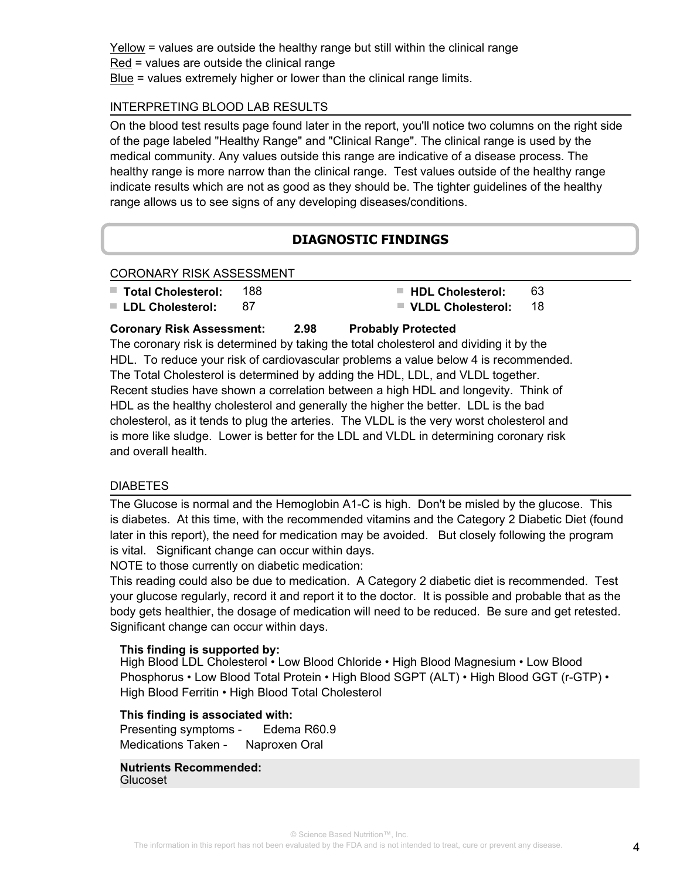Yellow = values are outside the healthy range but still within the clinical range Red = values are outside the clinical range Blue = values extremely higher or lower than the clinical range limits.

## INTERPRETING BLOOD LAB RESULTS

On the blood test results page found later in the report, you'll notice two columns on the right side of the page labeled "Healthy Range" and "Clinical Range". The clinical range is used by the medical community. Any values outside this range are indicative of a disease process. The healthy range is more narrow than the clinical range. Test values outside of the healthy range indicate results which are not as good as they should be. The tighter guidelines of the healthy range allows us to see signs of any developing diseases/conditions.

## **DIAGNOSTIC FINDINGS**

#### CORONARY RISK ASSESSMENT

- **Total Cholesterol:** 188 **HDL Cholesterol:** 63
- **LDL Cholesterol:** 87 **VLDL Cholesterol:** 18
- 

## **Coronary Risk Assessment: 2.98 Probably Protected**

The coronary risk is determined by taking the total cholesterol and dividing it by the HDL. To reduce your risk of cardiovascular problems a value below 4 is recommended. The Total Cholesterol is determined by adding the HDL, LDL, and VLDL together. Recent studies have shown a correlation between a high HDL and longevity. Think of HDL as the healthy cholesterol and generally the higher the better. LDL is the bad cholesterol, as it tends to plug the arteries. The VLDL is the very worst cholesterol and is more like sludge. Lower is better for the LDL and VLDL in determining coronary risk and overall health.

## **DIABETES**

The Glucose is normal and the Hemoglobin A1-C is high. Don't be misled by the glucose. This is diabetes. At this time, with the recommended vitamins and the Category 2 Diabetic Diet (found later in this report), the need for medication may be avoided. But closely following the program is vital. Significant change can occur within days.

NOTE to those currently on diabetic medication:

This reading could also be due to medication. A Category 2 diabetic diet is recommended. Test your glucose regularly, record it and report it to the doctor. It is possible and probable that as the body gets healthier, the dosage of medication will need to be reduced. Be sure and get retested. Significant change can occur within days.

#### **This finding is supported by:**

High Blood LDL Cholesterol • Low Blood Chloride • High Blood Magnesium • Low Blood Phosphorus • Low Blood Total Protein • High Blood SGPT (ALT) • High Blood GGT (r-GTP) • High Blood Ferritin • High Blood Total Cholesterol

## **This finding is associated with:**

Presenting symptoms - Edema R60.9 Medications Taken - Naproxen Oral

**Nutrients Recommended:** Glucoset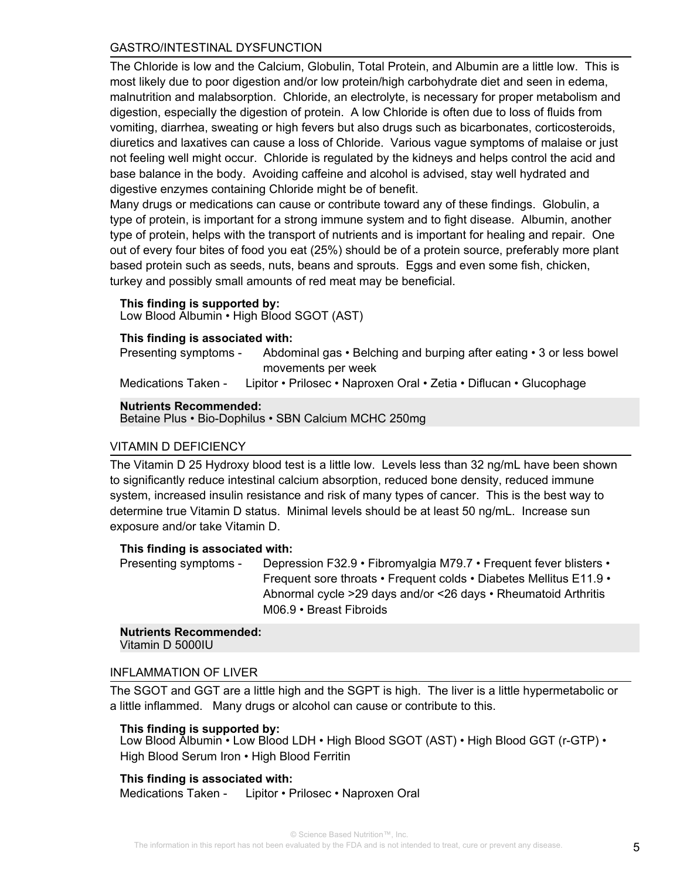## GASTRO/INTESTINAL DYSFUNCTION

The Chloride is low and the Calcium, Globulin, Total Protein, and Albumin are a little low. This is most likely due to poor digestion and/or low protein/high carbohydrate diet and seen in edema, malnutrition and malabsorption. Chloride, an electrolyte, is necessary for proper metabolism and digestion, especially the digestion of protein. A low Chloride is often due to loss of fluids from vomiting, diarrhea, sweating or high fevers but also drugs such as bicarbonates, corticosteroids, diuretics and laxatives can cause a loss of Chloride. Various vague symptoms of malaise or just not feeling well might occur. Chloride is regulated by the kidneys and helps control the acid and base balance in the body. Avoiding caffeine and alcohol is advised, stay well hydrated and digestive enzymes containing Chloride might be of benefit.

Many drugs or medications can cause or contribute toward any of these findings. Globulin, a type of protein, is important for a strong immune system and to fight disease. Albumin, another type of protein, helps with the transport of nutrients and is important for healing and repair. One out of every four bites of food you eat (25%) should be of a protein source, preferably more plant based protein such as seeds, nuts, beans and sprouts. Eggs and even some fish, chicken, turkey and possibly small amounts of red meat may be beneficial.

#### **This finding is supported by:**

Low Blood Albumin • High Blood SGOT (AST)

### **This finding is associated with:**

Abdominal gas • Belching and burping after eating • 3 or less bowel movements per week Presenting symptoms -

Medications Taken - Lipitor • Prilosec • Naproxen Oral • Zetia • Diflucan • Glucophage

#### **Nutrients Recommended:**

Betaine Plus • Bio-Dophilus • SBN Calcium MCHC 250mg

## VITAMIN D DEFICIENCY

The Vitamin D 25 Hydroxy blood test is a little low. Levels less than 32 ng/mL have been shown to significantly reduce intestinal calcium absorption, reduced bone density, reduced immune system, increased insulin resistance and risk of many types of cancer. This is the best way to determine true Vitamin D status. Minimal levels should be at least 50 ng/mL. Increase sun exposure and/or take Vitamin D.

#### **This finding is associated with:**

Depression F32.9 • Fibromyalgia M79.7 • Frequent fever blisters • Frequent sore throats • Frequent colds • Diabetes Mellitus E11.9 • Abnormal cycle >29 days and/or <26 days • Rheumatoid Arthritis M06.9 • Breast Fibroids Presenting symptoms -

#### **Nutrients Recommended:** Vitamin D 5000IU

#### INFLAMMATION OF LIVER

The SGOT and GGT are a little high and the SGPT is high. The liver is a little hypermetabolic or a little inflammed. Many drugs or alcohol can cause or contribute to this.

#### **This finding is supported by:**

Low Blood Albumin • Low Blood LDH • High Blood SGOT (AST) • High Blood GGT (r-GTP) • High Blood Serum Iron • High Blood Ferritin

#### **This finding is associated with:**

Medications Taken - Lipitor • Prilosec • Naproxen Oral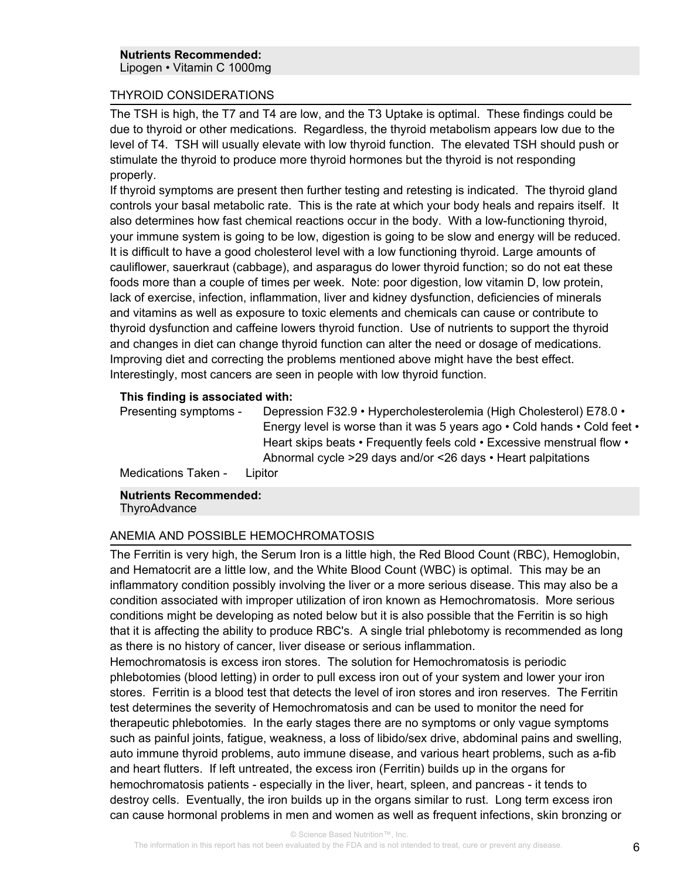### THYROID CONSIDERATIONS

The TSH is high, the T7 and T4 are low, and the T3 Uptake is optimal. These findings could be due to thyroid or other medications. Regardless, the thyroid metabolism appears low due to the level of T4. TSH will usually elevate with low thyroid function. The elevated TSH should push or stimulate the thyroid to produce more thyroid hormones but the thyroid is not responding properly.

If thyroid symptoms are present then further testing and retesting is indicated. The thyroid gland controls your basal metabolic rate. This is the rate at which your body heals and repairs itself. It also determines how fast chemical reactions occur in the body. With a low-functioning thyroid, your immune system is going to be low, digestion is going to be slow and energy will be reduced. It is difficult to have a good cholesterol level with a low functioning thyroid. Large amounts of cauliflower, sauerkraut (cabbage), and asparagus do lower thyroid function; so do not eat these foods more than a couple of times per week. Note: poor digestion, low vitamin D, low protein, lack of exercise, infection, inflammation, liver and kidney dysfunction, deficiencies of minerals and vitamins as well as exposure to toxic elements and chemicals can cause or contribute to thyroid dysfunction and caffeine lowers thyroid function. Use of nutrients to support the thyroid and changes in diet can change thyroid function can alter the need or dosage of medications. Improving diet and correcting the problems mentioned above might have the best effect. Interestingly, most cancers are seen in people with low thyroid function.

#### **This finding is associated with:**

Depression F32.9 • Hypercholesterolemia (High Cholesterol) E78.0 • Energy level is worse than it was 5 years ago • Cold hands • Cold feet • Heart skips beats • Frequently feels cold • Excessive menstrual flow • Abnormal cycle >29 days and/or <26 days • Heart palpitations Presenting symptoms -

Medications Taken - Lipitor

**Nutrients Recommended: ThyroAdvance** 

#### ANEMIA AND POSSIBLE HEMOCHROMATOSIS

The Ferritin is very high, the Serum Iron is a little high, the Red Blood Count (RBC), Hemoglobin, and Hematocrit are a little low, and the White Blood Count (WBC) is optimal. This may be an inflammatory condition possibly involving the liver or a more serious disease. This may also be a condition associated with improper utilization of iron known as Hemochromatosis. More serious conditions might be developing as noted below but it is also possible that the Ferritin is so high that it is affecting the ability to produce RBC's. A single trial phlebotomy is recommended as long as there is no history of cancer, liver disease or serious inflammation.

Hemochromatosis is excess iron stores. The solution for Hemochromatosis is periodic phlebotomies (blood letting) in order to pull excess iron out of your system and lower your iron stores. Ferritin is a blood test that detects the level of iron stores and iron reserves. The Ferritin test determines the severity of Hemochromatosis and can be used to monitor the need for therapeutic phlebotomies. In the early stages there are no symptoms or only vague symptoms such as painful joints, fatigue, weakness, a loss of libido/sex drive, abdominal pains and swelling, auto immune thyroid problems, auto immune disease, and various heart problems, such as a-fib and heart flutters. If left untreated, the excess iron (Ferritin) builds up in the organs for hemochromatosis patients - especially in the liver, heart, spleen, and pancreas - it tends to destroy cells. Eventually, the iron builds up in the organs similar to rust. Long term excess iron can cause hormonal problems in men and women as well as frequent infections, skin bronzing or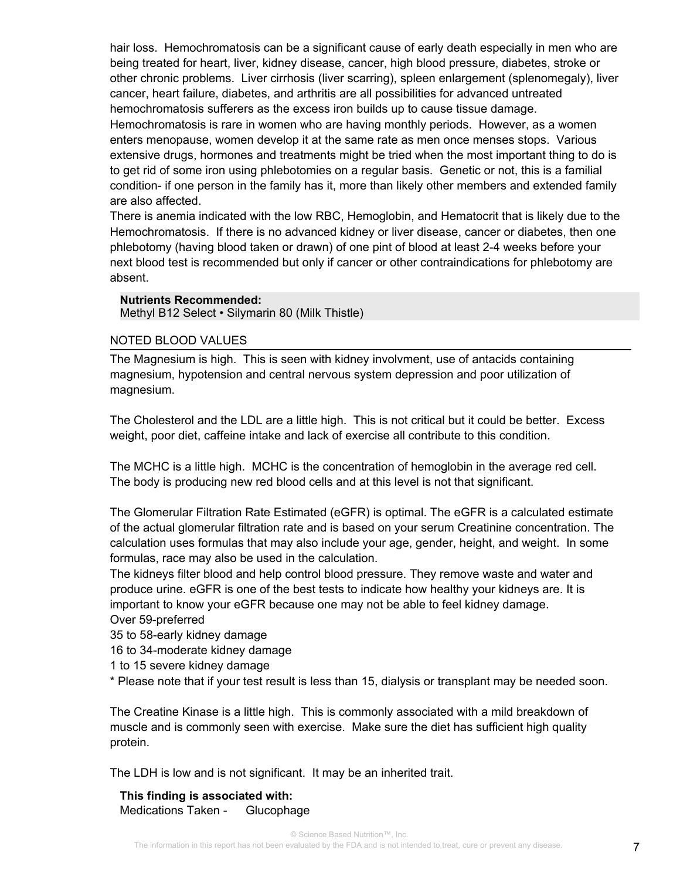hair loss. Hemochromatosis can be a significant cause of early death especially in men who are being treated for heart, liver, kidney disease, cancer, high blood pressure, diabetes, stroke or other chronic problems. Liver cirrhosis (liver scarring), spleen enlargement (splenomegaly), liver cancer, heart failure, diabetes, and arthritis are all possibilities for advanced untreated hemochromatosis sufferers as the excess iron builds up to cause tissue damage. Hemochromatosis is rare in women who are having monthly periods. However, as a women enters menopause, women develop it at the same rate as men once menses stops. Various extensive drugs, hormones and treatments might be tried when the most important thing to do is to get rid of some iron using phlebotomies on a regular basis. Genetic or not, this is a familial condition- if one person in the family has it, more than likely other members and extended family are also affected.

There is anemia indicated with the low RBC, Hemoglobin, and Hematocrit that is likely due to the Hemochromatosis. If there is no advanced kidney or liver disease, cancer or diabetes, then one phlebotomy (having blood taken or drawn) of one pint of blood at least 2-4 weeks before your next blood test is recommended but only if cancer or other contraindications for phlebotomy are absent.

#### **Nutrients Recommended:**

Methyl B12 Select • Silymarin 80 (Milk Thistle)

#### NOTED BLOOD VALUES

The Magnesium is high. This is seen with kidney involvment, use of antacids containing magnesium, hypotension and central nervous system depression and poor utilization of magnesium.

The Cholesterol and the LDL are a little high. This is not critical but it could be better. Excess weight, poor diet, caffeine intake and lack of exercise all contribute to this condition.

The MCHC is a little high. MCHC is the concentration of hemoglobin in the average red cell. The body is producing new red blood cells and at this level is not that significant.

The Glomerular Filtration Rate Estimated (eGFR) is optimal. The eGFR is a calculated estimate of the actual glomerular filtration rate and is based on your serum Creatinine concentration. The calculation uses formulas that may also include your age, gender, height, and weight. In some formulas, race may also be used in the calculation.

The kidneys filter blood and help control blood pressure. They remove waste and water and produce urine. eGFR is one of the best tests to indicate how healthy your kidneys are. It is important to know your eGFR because one may not be able to feel kidney damage.

Over 59-preferred

35 to 58-early kidney damage

16 to 34-moderate kidney damage

1 to 15 severe kidney damage

\* Please note that if your test result is less than 15, dialysis or transplant may be needed soon.

The Creatine Kinase is a little high. This is commonly associated with a mild breakdown of muscle and is commonly seen with exercise. Make sure the diet has sufficient high quality protein.

The LDH is low and is not significant. It may be an inherited trait.

**This finding is associated with:** Medications Taken - Glucophage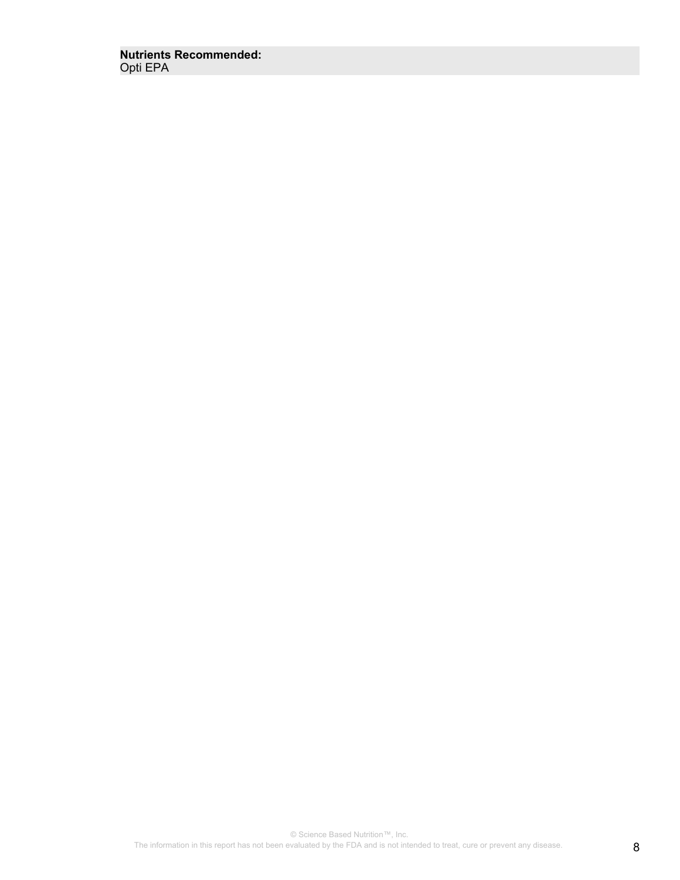**Nutrients Recommended:** Opti EPA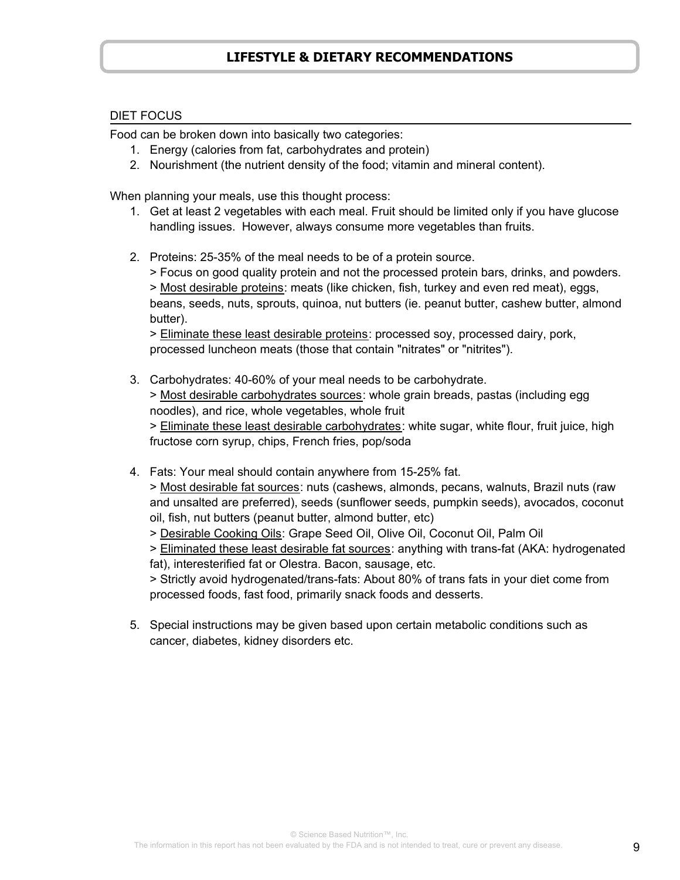# **LIFESTYLE & DIETARY RECOMMENDATIONS**

### DIET FOCUS

Food can be broken down into basically two categories:

- 1. Energy (calories from fat, carbohydrates and protein)
- 2. Nourishment (the nutrient density of the food; vitamin and mineral content).

When planning your meals, use this thought process:

- 1. Get at least 2 vegetables with each meal. Fruit should be limited only if you have glucose handling issues. However, always consume more vegetables than fruits.
- 2. Proteins: 25-35% of the meal needs to be of a protein source.

 > Focus on good quality protein and not the processed protein bars, drinks, and powders. > Most desirable proteins: meats (like chicken, fish, turkey and even red meat), eggs, beans, seeds, nuts, sprouts, quinoa, nut butters (ie. peanut butter, cashew butter, almond butter).

 > Eliminate these least desirable proteins: processed soy, processed dairy, pork, processed luncheon meats (those that contain "nitrates" or "nitrites").

- 3. Carbohydrates: 40-60% of your meal needs to be carbohydrate. > Most desirable carbohydrates sources: whole grain breads, pastas (including egg noodles), and rice, whole vegetables, whole fruit > Eliminate these least desirable carbohydrates: white sugar, white flour, fruit juice, high fructose corn syrup, chips, French fries, pop/soda
- 4. Fats: Your meal should contain anywhere from 15-25% fat.

 > Most desirable fat sources: nuts (cashews, almonds, pecans, walnuts, Brazil nuts (raw and unsalted are preferred), seeds (sunflower seeds, pumpkin seeds), avocados, coconut oil, fish, nut butters (peanut butter, almond butter, etc)

> Desirable Cooking Oils: Grape Seed Oil, Olive Oil, Coconut Oil, Palm Oil

 > Eliminated these least desirable fat sources: anything with trans-fat (AKA: hydrogenated fat), interesterified fat or Olestra. Bacon, sausage, etc.

 > Strictly avoid hydrogenated/trans-fats: About 80% of trans fats in your diet come from processed foods, fast food, primarily snack foods and desserts.

5. Special instructions may be given based upon certain metabolic conditions such as cancer, diabetes, kidney disorders etc.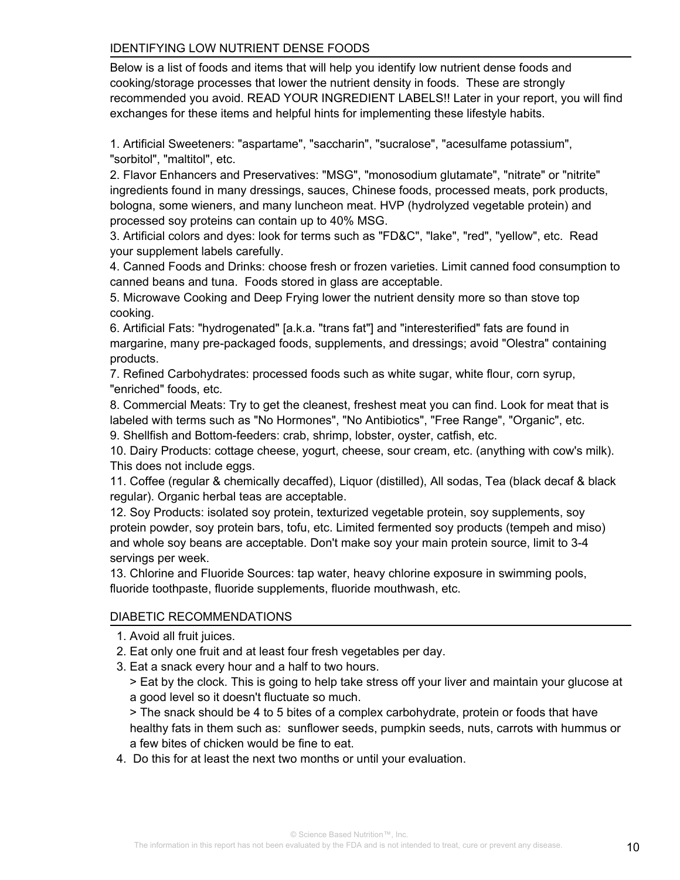## IDENTIFYING LOW NUTRIENT DENSE FOODS

Below is a list of foods and items that will help you identify low nutrient dense foods and cooking/storage processes that lower the nutrient density in foods. These are strongly recommended you avoid. READ YOUR INGREDIENT LABELS!! Later in your report, you will find exchanges for these items and helpful hints for implementing these lifestyle habits.

1. Artificial Sweeteners: "aspartame", "saccharin", "sucralose", "acesulfame potassium", "sorbitol", "maltitol", etc.

2. Flavor Enhancers and Preservatives: "MSG", "monosodium glutamate", "nitrate" or "nitrite" ingredients found in many dressings, sauces, Chinese foods, processed meats, pork products, bologna, some wieners, and many luncheon meat. HVP (hydrolyzed vegetable protein) and processed soy proteins can contain up to 40% MSG.

3. Artificial colors and dyes: look for terms such as "FD&C", "lake", "red", "yellow", etc. Read your supplement labels carefully.

4. Canned Foods and Drinks: choose fresh or frozen varieties. Limit canned food consumption to canned beans and tuna. Foods stored in glass are acceptable.

5. Microwave Cooking and Deep Frying lower the nutrient density more so than stove top cooking.

6. Artificial Fats: "hydrogenated" [a.k.a. "trans fat"] and "interesterified" fats are found in margarine, many pre-packaged foods, supplements, and dressings; avoid "Olestra" containing products.

7. Refined Carbohydrates: processed foods such as white sugar, white flour, corn syrup, "enriched" foods, etc.

8. Commercial Meats: Try to get the cleanest, freshest meat you can find. Look for meat that is labeled with terms such as "No Hormones", "No Antibiotics", "Free Range", "Organic", etc.

9. Shellfish and Bottom-feeders: crab, shrimp, lobster, oyster, catfish, etc.

10. Dairy Products: cottage cheese, yogurt, cheese, sour cream, etc. (anything with cow's milk). This does not include eggs.

11. Coffee (regular & chemically decaffed), Liquor (distilled), All sodas, Tea (black decaf & black regular). Organic herbal teas are acceptable.

12. Soy Products: isolated soy protein, texturized vegetable protein, soy supplements, soy protein powder, soy protein bars, tofu, etc. Limited fermented soy products (tempeh and miso) and whole soy beans are acceptable. Don't make soy your main protein source, limit to 3-4 servings per week.

13. Chlorine and Fluoride Sources: tap water, heavy chlorine exposure in swimming pools, fluoride toothpaste, fluoride supplements, fluoride mouthwash, etc.

## DIABETIC RECOMMENDATIONS

- 1. Avoid all fruit juices.
- 2. Eat only one fruit and at least four fresh vegetables per day.
- 3. Eat a snack every hour and a half to two hours.

 > Eat by the clock. This is going to help take stress off your liver and maintain your glucose at a good level so it doesn't fluctuate so much.

 > The snack should be 4 to 5 bites of a complex carbohydrate, protein or foods that have healthy fats in them such as: sunflower seeds, pumpkin seeds, nuts, carrots with hummus or a few bites of chicken would be fine to eat.

4. Do this for at least the next two months or until your evaluation.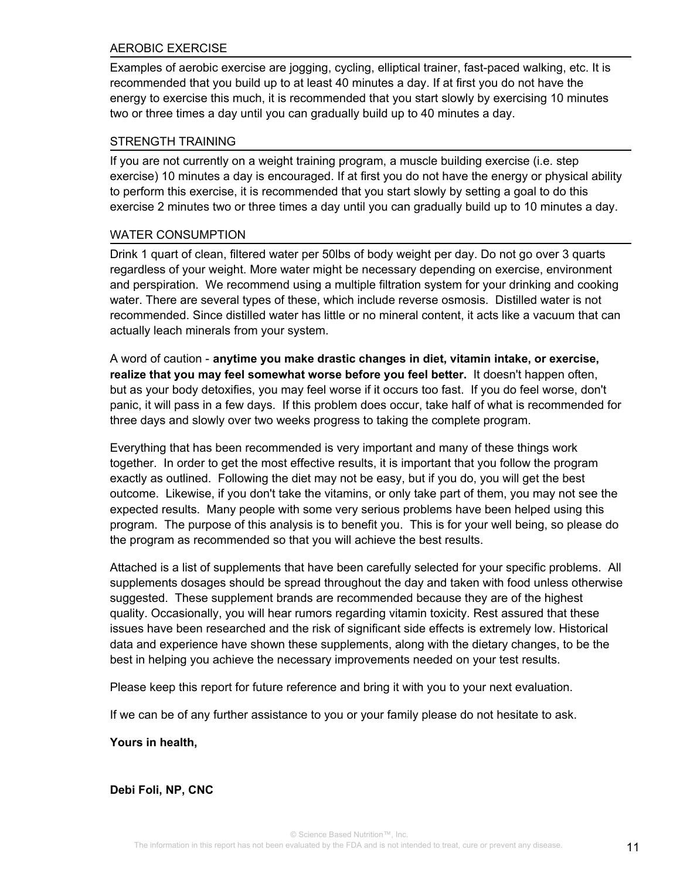### AEROBIC EXERCISE

Examples of aerobic exercise are jogging, cycling, elliptical trainer, fast-paced walking, etc. It is recommended that you build up to at least 40 minutes a day. If at first you do not have the energy to exercise this much, it is recommended that you start slowly by exercising 10 minutes two or three times a day until you can gradually build up to 40 minutes a day.

### STRENGTH TRAINING

If you are not currently on a weight training program, a muscle building exercise (i.e. step exercise) 10 minutes a day is encouraged. If at first you do not have the energy or physical ability to perform this exercise, it is recommended that you start slowly by setting a goal to do this exercise 2 minutes two or three times a day until you can gradually build up to 10 minutes a day.

#### WATER CONSUMPTION

Drink 1 quart of clean, filtered water per 50lbs of body weight per day. Do not go over 3 quarts regardless of your weight. More water might be necessary depending on exercise, environment and perspiration. We recommend using a multiple filtration system for your drinking and cooking water. There are several types of these, which include reverse osmosis. Distilled water is not recommended. Since distilled water has little or no mineral content, it acts like a vacuum that can actually leach minerals from your system.

A word of caution - **anytime you make drastic changes in diet, vitamin intake, or exercise, realize that you may feel somewhat worse before you feel better.** It doesn't happen often, but as your body detoxifies, you may feel worse if it occurs too fast. If you do feel worse, don't panic, it will pass in a few days. If this problem does occur, take half of what is recommended for three days and slowly over two weeks progress to taking the complete program.

Everything that has been recommended is very important and many of these things work together. In order to get the most effective results, it is important that you follow the program exactly as outlined. Following the diet may not be easy, but if you do, you will get the best outcome. Likewise, if you don't take the vitamins, or only take part of them, you may not see the expected results. Many people with some very serious problems have been helped using this program. The purpose of this analysis is to benefit you. This is for your well being, so please do the program as recommended so that you will achieve the best results.

Attached is a list of supplements that have been carefully selected for your specific problems. All supplements dosages should be spread throughout the day and taken with food unless otherwise suggested. These supplement brands are recommended because they are of the highest quality. Occasionally, you will hear rumors regarding vitamin toxicity. Rest assured that these issues have been researched and the risk of significant side effects is extremely low. Historical data and experience have shown these supplements, along with the dietary changes, to be the best in helping you achieve the necessary improvements needed on your test results.

Please keep this report for future reference and bring it with you to your next evaluation.

If we can be of any further assistance to you or your family please do not hesitate to ask.

#### **Yours in health,**

**Debi Foli, NP, CNC**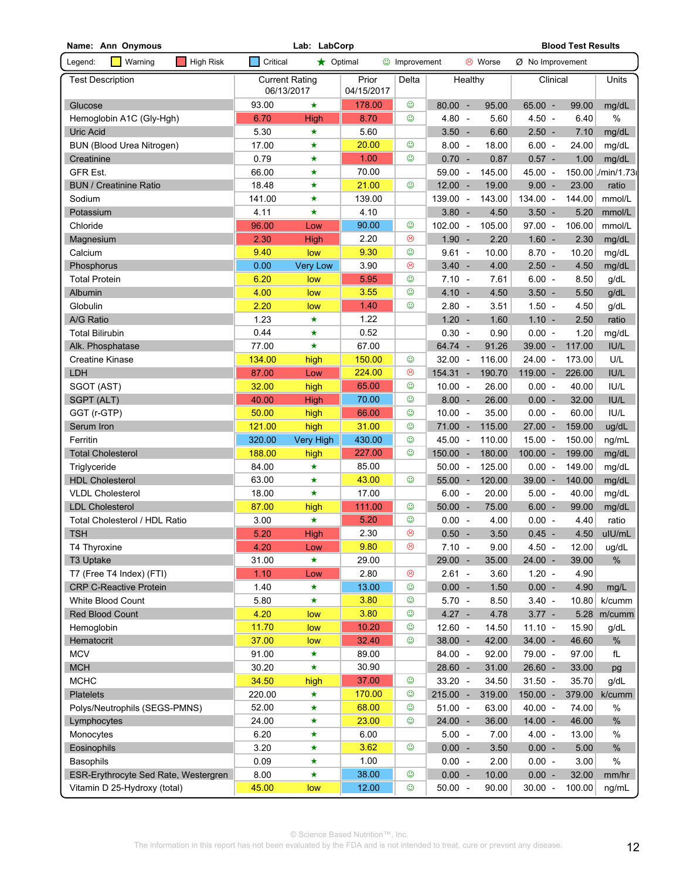| Lab: LabCorp<br><b>Blood Test Results</b><br>Name: Ann Onymous      |            |                       |                     |                       |            |  |          |                    |        |                  |
|---------------------------------------------------------------------|------------|-----------------------|---------------------|-----------------------|------------|--|----------|--------------------|--------|------------------|
| Legend:<br>$\blacksquare$ Warning<br><b>COL</b><br><b>High Risk</b> | Critical   | $\bigstar$ Optimal    |                     | <b>to</b> Improvement |            |  | ම Worse  | $Ø$ No Improvement |        |                  |
| <b>Test Description</b>                                             | 06/13/2017 | <b>Current Rating</b> | Prior<br>04/15/2017 | Delta                 | Healthy    |  | Clinical |                    | Units  |                  |
| Glucose                                                             | 93.00      | $\star$               | 178.00              | $\odot$               | $80.00 -$  |  | 95.00    | $65.00 -$          | 99.00  | mg/dL            |
| Hemoglobin A1C (Gly-Hgh)                                            | 6.70       | <b>High</b>           | 8.70                | ☺                     | $4.80 -$   |  | 5.60     | $4.50 -$           | 6.40   | $\%$             |
| Uric Acid                                                           | 5.30       | $\star$               | 5.60                |                       | $3.50 -$   |  | 6.60     | $2.50 -$           | 7.10   | mg/dL            |
| <b>BUN (Blood Urea Nitrogen)</b>                                    | 17.00      | $\star$               | 20.00               | $\odot$               | $8.00 -$   |  | 18.00    | $6.00 -$           | 24.00  | mg/dL            |
| Creatinine                                                          | 0.79       | $\star$               | 1.00                | $\odot$               | $0.70 -$   |  | 0.87     | $0.57 -$           | 1.00   | mg/dL            |
| <b>GFR Est.</b>                                                     | 66.00      | $\star$               | 70.00               |                       | 59.00 -    |  | 145.00   | 45.00 -            |        | 150.00 /min/1.73 |
| <b>BUN / Creatinine Ratio</b>                                       | 18.48      | ★                     | 21.00               | ☺                     | $12.00 -$  |  | 19.00    | $9.00 -$           | 23.00  | ratio            |
| Sodium                                                              | 141.00     | ★                     | 139.00              |                       | 139.00 -   |  | 143.00   | 134.00 -           | 144.00 | mmol/L           |
| Potassium                                                           | 4.11       | $\star$               | 4.10                |                       | $3.80 -$   |  | 4.50     | $3.50 -$           | 5.20   | mmol/L           |
| Chloride                                                            | 96.00      | Low                   | 90.00               | $\odot$               | $102.00 -$ |  | 105.00   | $97.00 -$          | 106.00 | mmol/L           |
| Magnesium                                                           | 2.30       | High                  | 2.20                | ☺                     | $1.90 -$   |  | 2.20     | $1.60 -$           | 2.30   | mg/dL            |
| Calcium                                                             | 9.40       | low                   | 9.30                | $\odot$               | $9.61 -$   |  | 10.00    | $8.70 -$           | 10.20  | mg/dL            |
| Phosphorus                                                          | 0.00       | <b>Very Low</b>       | 3.90                | ☺                     | $3.40 -$   |  | 4.00     | $2.50 -$           | 4.50   | mg/dL            |
| <b>Total Protein</b>                                                | 6.20       | low                   | 5.95                | $\odot$               | $7.10 -$   |  | 7.61     | $6.00 -$           | 8.50   | g/dL             |
| Albumin                                                             | 4.00       | low                   | 3.55                | $\odot$               | $4.10 -$   |  | 4.50     | $3.50 -$           | 5.50   | g/dL             |
| Globulin                                                            | 2.20       | low                   | 1.40                | $\odot$               | $2.80 -$   |  | 3.51     | $1.50 -$           | 4.50   | g/dL             |
| A/G Ratio                                                           | 1.23       | $\star$               | 1.22                |                       | $1.20 -$   |  | 1.60     | $1.10 -$           | 2.50   | ratio            |
| <b>Total Bilirubin</b>                                              | 0.44       | $\star$               | 0.52                |                       | $0.30 -$   |  | 0.90     | $0.00 -$           | 1.20   | mg/dL            |
| Alk. Phosphatase                                                    | 77.00      | $\star$               | 67.00               |                       | 64.74 -    |  | 91.26    | $39.00 -$          | 117.00 | IU/L             |
| <b>Creatine Kinase</b>                                              | 134.00     | high                  | 150.00              | ☺                     | $32.00 -$  |  | 116.00   | $24.00 -$          | 173.00 | U/L              |
| LDH                                                                 | 87.00      | Low                   | 224.00              | ☺                     | $154.31 -$ |  | 190.70   | $119.00 -$         | 226.00 | IUIL             |
| SGOT (AST)                                                          | 32.00      | high                  | 65.00               | $\odot$               | $10.00 -$  |  | 26.00    | $0.00 -$           | 40.00  | IU/L             |
| SGPT (ALT)                                                          | 40.00      | High                  | 70.00               | $_{\odot}$            | $8.00 -$   |  | 26.00    | $0.00 -$           | 32.00  | IUIL             |
| GGT (r-GTP)                                                         | 50.00      | high                  | 66.00               | $_{\odot}$            | $10.00 -$  |  | 35.00    | $0.00 -$           | 60.00  | IUIL             |
| Serum Iron                                                          | 121.00     | high                  | 31.00               | $_{\odot}$            | $71.00 -$  |  | 115.00   | 27.00 -            | 159.00 | ug/dL            |
| Ferritin                                                            | 320.00     | Very High             | 430.00              | $\odot$               | $45.00 -$  |  | 110.00   | $15.00 -$          | 150.00 | ng/mL            |
| <b>Total Cholesterol</b>                                            | 188.00     | high                  | 227.00              | $\odot$               | $150.00 -$ |  | 180.00   | $100.00 -$         | 199.00 | mg/dL            |
| Triglyceride                                                        | 84.00      | $\star$               | 85.00               |                       | $50.00 -$  |  | 125.00   | $0.00 -$           | 149.00 | mg/dL            |
| <b>HDL Cholesterol</b>                                              | 63.00      | $\star$               | 43.00               | ☺                     | $55.00 -$  |  | 120.00   | 39.00 -            | 140.00 | mg/dL            |
| <b>VLDL Cholesterol</b>                                             | 18.00      | $\star$               | 17.00               |                       | $6.00 -$   |  | 20.00    | $5.00 -$           | 40.00  | mg/dL            |
| <b>LDL Cholesterol</b>                                              | 87.00      | high                  | 111.00              | $_{\odot}$            | $50.00 -$  |  | 75.00    | $6.00 -$           | 99.00  | mg/dL            |
| Total Cholesterol / HDL Ratio                                       | 3.00       | $\star$               | 5.20                | $\odot$               | $0.00 -$   |  | 4.00     | $0.00 -$           | 4.40   | ratio            |
| <b>TSH</b>                                                          | 5.20       | High                  | 2.30                | $\odot$               | $0.50 -$   |  | 3.50     | $0.45 -$           | 4.50   | ulU/mL           |
| T4 Thyroxine                                                        | 4.20       | Low                   | 9.80                | ☺                     | $7.10 -$   |  | 9.00     | $4.50 -$           | 12.00  | ug/dL            |
| T3 Uptake                                                           | 31.00      | $\star$               | 29.00               |                       | 29.00 -    |  | 35.00    | $24.00 -$          | 39.00  | $\%$             |
| T7 (Free T4 Index) (FTI)                                            | 1.10       | Low                   | 2.80                | $\circledcirc$        | $2.61 -$   |  | 3.60     | $1.20 -$           | 4.90   |                  |
| <b>CRP C-Reactive Protein</b>                                       | 1.40       | $\star$               | 13.00               | $_{\odot}$            | $0.00 -$   |  | 1.50     | $0.00 -$           | 4.90   | mg/L             |
| White Blood Count                                                   | 5.80       | $\star$               | 3.80                | $_{\odot}$            | $5.70 -$   |  | 8.50     | $3.40 -$           | 10.80  | k/cumm           |
| Red Blood Count                                                     | 4.20       | low                   | 3.80                | $_{\odot}$            | $4.27 -$   |  | 4.78     | $3.77 -$           | 5.28   | m/cumm           |
| Hemoglobin                                                          | 11.70      | low                   | 10.20               | $_{\odot}$            | $12.60 -$  |  | 14.50    | $11.10 -$          | 15.90  | g/dL             |
| Hematocrit                                                          | 37.00      | low                   | 32.40               | $\odot$               | $38.00 -$  |  | 42.00    | $34.00 -$          | 46.60  | %                |
| <b>MCV</b>                                                          | 91.00      | $\star$               | 89.00               |                       | 84.00 -    |  | 92.00    | 79.00 -            | 97.00  | fL               |
| <b>MCH</b>                                                          | 30.20      | $\star$               | 30.90               |                       | $28.60 -$  |  | 31.00    | $26.60 -$          | 33.00  | pg               |
| <b>MCHC</b>                                                         | 34.50      | high                  | 37.00               | $_{\odot}$            | $33.20 -$  |  | 34.50    | $31.50 -$          | 35.70  | g/dL             |
| <b>Platelets</b>                                                    | 220.00     | $\star$               | 170.00              | $_{\odot}$            | $215.00 -$ |  | 319.00   | $150.00 -$         | 379.00 | k/cumm           |
| Polys/Neutrophils (SEGS-PMNS)                                       | 52.00      | $\star$               | 68.00               | $_{\odot}$            | $51.00 -$  |  | 63.00    | $40.00 -$          | 74.00  | %                |
| Lymphocytes                                                         | 24.00      | $\star$               | 23.00               | $_{\odot}$            | $24.00 -$  |  | 36.00    | $14.00 -$          | 46.00  | %                |
| Monocytes                                                           | 6.20       | $\star$               | 6.00                |                       | $5.00 -$   |  | 7.00     | $4.00 -$           | 13.00  | %                |
| Eosinophils                                                         | 3.20       | $\star$               | 3.62                | $\odot$               | $0.00 -$   |  | 3.50     | $0.00 -$           | 5.00   | %                |
|                                                                     |            |                       | 1.00                |                       | $0.00 -$   |  |          |                    |        | $\%$             |
| Basophils                                                           | 0.09       | $\star$               |                     | $\odot$               |            |  | 2.00     | $0.00 -$           | 3.00   |                  |
| ESR-Erythrocyte Sed Rate, Westergren                                | 8.00       | $\star$               | 38.00               |                       | $0.00 -$   |  | 10.00    | $0.00 -$           | 32.00  | mm/hr            |
| Vitamin D 25-Hydroxy (total)                                        | 45.00      | low                   | 12.00               | $_{\odot}$            | $50.00 -$  |  | 90.00    | $30.00 -$          | 100.00 | ng/mL            |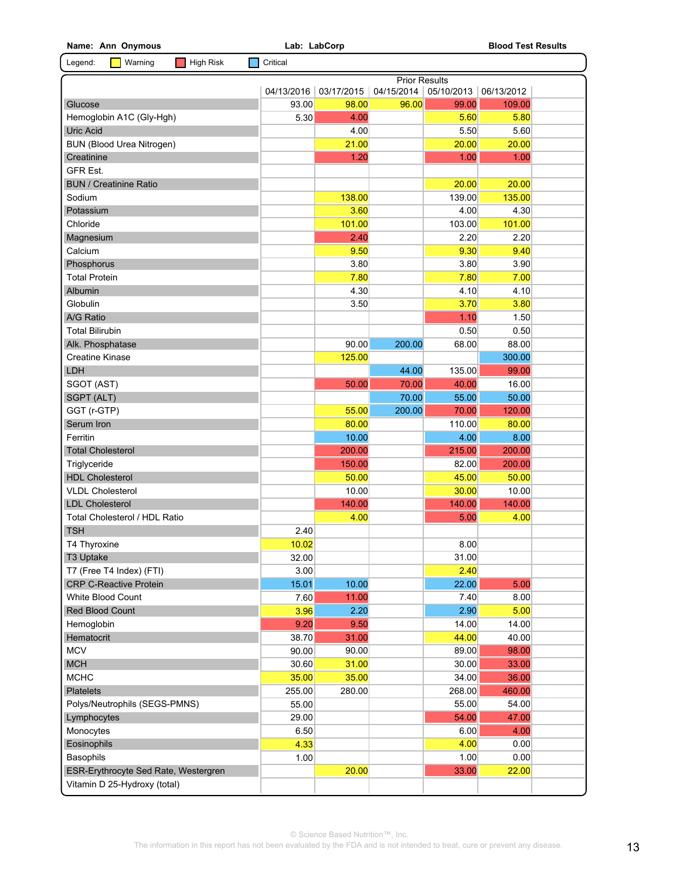| Name: Ann Onymous                                         | Lab: LabCorp  |               |                      |                 | <b>Blood Test Results</b> |  |  |  |
|-----------------------------------------------------------|---------------|---------------|----------------------|-----------------|---------------------------|--|--|--|
| Legend:<br>Warning<br><b>High Risk</b>                    | Critical      |               |                      |                 |                           |  |  |  |
|                                                           |               |               | <b>Prior Results</b> |                 |                           |  |  |  |
|                                                           | 04/13/2016    | 03/17/2015    | 04/15/2014           | 05/10/2013      | 06/13/2012                |  |  |  |
| Glucose                                                   | 93.00         | 98.00         | 96.00                | 99.00           | 109.00                    |  |  |  |
| Hemoglobin A1C (Gly-Hgh)                                  | 5.30          | 4.00          |                      | 5.60            | 5.80                      |  |  |  |
| <b>Uric Acid</b>                                          |               | 4.00          |                      | 5.50            | 5.60                      |  |  |  |
| <b>BUN (Blood Urea Nitrogen)</b>                          |               | 21.00         |                      | 20.00           | 20.00                     |  |  |  |
| Creatinine                                                |               | 1.20          |                      | 1.00            | 1.00                      |  |  |  |
| <b>GFR Est.</b>                                           |               |               |                      |                 |                           |  |  |  |
| <b>BUN / Creatinine Ratio</b>                             |               |               |                      | 20.00           | 20.00                     |  |  |  |
| Sodium                                                    |               | 138.00        |                      | 139.00          | 135.00                    |  |  |  |
| Potassium                                                 |               | 3.60          |                      | 4.00            | 4.30                      |  |  |  |
| Chloride                                                  |               | 101.00        |                      | 103.00          | 101.00                    |  |  |  |
| Magnesium                                                 |               | 2.40          |                      | 2.20            | 2.20                      |  |  |  |
| Calcium                                                   |               | 9.50          |                      | 9.30            | 9.40                      |  |  |  |
| Phosphorus                                                |               | 3.80          |                      | 3.80            | 3.90                      |  |  |  |
| <b>Total Protein</b>                                      |               | 7.80          |                      | 7.80            | 7.00                      |  |  |  |
| Albumin                                                   |               | 4.30          |                      | 4.10            | 4.10                      |  |  |  |
| Globulin                                                  |               | 3.50          |                      | 3.70            | 3.80                      |  |  |  |
| A/G Ratio                                                 |               |               |                      | 1.10            | 1.50                      |  |  |  |
| <b>Total Bilirubin</b>                                    |               |               |                      | 0.50            | 0.50                      |  |  |  |
| Alk. Phosphatase                                          |               | 90.00         | 200.00               | 68.00           | 88.00                     |  |  |  |
| <b>Creatine Kinase</b>                                    |               | 125.00        |                      |                 | 300.00                    |  |  |  |
| LDH                                                       |               |               | 44.00                | 135.00          | 99.00                     |  |  |  |
| SGOT (AST)                                                |               | 50.00         | 70.00                | 40.00           | 16.00                     |  |  |  |
| SGPT (ALT)                                                |               |               | 70.00                | 55.00           | 50.00                     |  |  |  |
| GGT (r-GTP)                                               |               | 55.00         | 200.00               | 70.00           | 120.00                    |  |  |  |
| Serum Iron                                                |               | 80.00         |                      | 110.00          | 80.00                     |  |  |  |
| Ferritin                                                  |               | 10.00         |                      | 4.00            | 8.00                      |  |  |  |
| <b>Total Cholesterol</b>                                  |               | 200.00        |                      | 215.00          | 200.00                    |  |  |  |
|                                                           |               | 150.00        |                      | 82.00           | 200.00                    |  |  |  |
| Triglyceride<br><b>HDL Cholesterol</b>                    |               | 50.00         |                      | 45.00           | 50.00                     |  |  |  |
| <b>VLDL Cholesterol</b>                                   |               | 10.00         |                      |                 |                           |  |  |  |
|                                                           |               | 140.00        |                      | 30.00<br>140.00 | 10.00                     |  |  |  |
| <b>LDL Cholesterol</b><br>Total Cholesterol / HDL Ratio   |               |               |                      |                 | 140.00                    |  |  |  |
|                                                           | 2.40          | 4.00          |                      | 5.00            | 4.00                      |  |  |  |
| <b>TSH</b>                                                |               |               |                      |                 |                           |  |  |  |
| T4 Thyroxine                                              | 10.02         |               |                      | 8.00            |                           |  |  |  |
| T3 Uptake                                                 | 32.00<br>3.00 |               |                      | 31.00           |                           |  |  |  |
| T7 (Free T4 Index) (FTI)<br><b>CRP C-Reactive Protein</b> |               | 10.00         |                      | 2.40            | 5.00                      |  |  |  |
|                                                           | 15.01<br>7.60 |               |                      | 22.00<br>7.40   |                           |  |  |  |
| White Blood Count                                         | 3.96          | 11.00<br>2.20 |                      | 2.90            | 8.00                      |  |  |  |
| Red Blood Count                                           |               |               |                      |                 | 5.00                      |  |  |  |
| Hemoglobin                                                | 9.20          | 9.50          |                      | 14.00           | 14.00                     |  |  |  |
| Hematocrit                                                | 38.70         | 31.00         |                      | 44.00           | 40.00                     |  |  |  |
| <b>MCV</b>                                                | 90.00         | 90.00         |                      | 89.00           | 98.00                     |  |  |  |
| <b>MCH</b>                                                | 30.60         | 31.00         |                      | 30.00           | 33.00                     |  |  |  |
| <b>MCHC</b>                                               | 35.00         | 35.00         |                      | 34.00           | 36.00                     |  |  |  |
| Platelets                                                 | 255.00        | 280.00        |                      | 268.00          | 460.00                    |  |  |  |
| Polys/Neutrophils (SEGS-PMNS)                             | 55.00         |               |                      | 55.00           | 54.00                     |  |  |  |
| Lymphocytes                                               | 29.00         |               |                      | 54.00           | 47.00                     |  |  |  |
| Monocytes                                                 | 6.50          |               |                      | 6.00            | 4.00                      |  |  |  |
| Eosinophils                                               | 4.33          |               |                      | 4.00            | 0.00                      |  |  |  |
| <b>Basophils</b>                                          | 1.00          |               |                      | 1.00            | 0.00                      |  |  |  |
| ESR-Erythrocyte Sed Rate, Westergren                      |               | 20.00         |                      | 33.00           | 22.00                     |  |  |  |
| Vitamin D 25-Hydroxy (total)                              |               |               |                      |                 |                           |  |  |  |